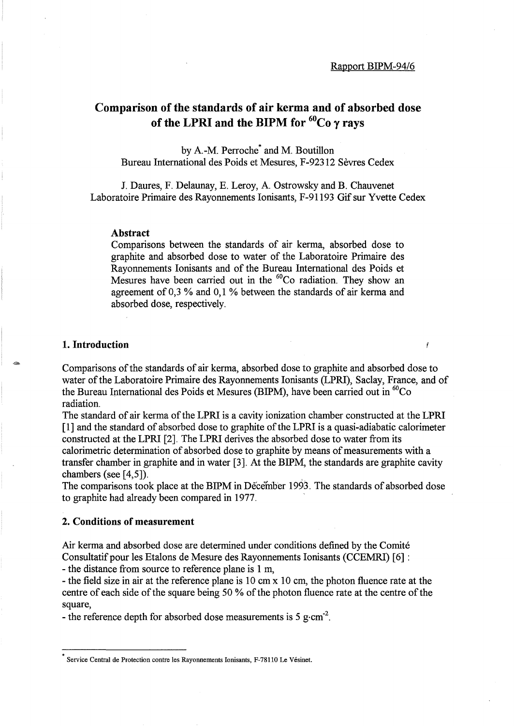## Comparison of the standards of air kerma and of absorbed dose of the LPRI and the BIPM for  ${}^{60}Co$  y rays

by A-M. Perroche\* and M. Boutillon Bureau International des Poids et Mesures, F-92312 Sevres Cedex

J. Daures, F. Delaunay, E. Leroy, A Ostrowsky and B. Chauvenet Laboratoire Primaire des Rayonnements Ionisants, F-91193 Gif sur Yvette Cedex

#### Abstract

Comparisons between the standards of air kerma, absorbed dose to graphite and absorbed dose to water of the Laboratoire Primaire des Rayonnements Ionisants and of the Bureau International des Poids et Mesures have been carried out in the <sup>60</sup>Co radiation. They show an agreement of 0,3 % and 0,1 % between the standards of air kerma and absorbed dose, respectively.

## 1. Introduction

-

Comparisons of the standards of air kerma, absorbed dose to graphite and absorbed dose to water of the Laboratoire Primaire des Rayonnements Ionisants (LPRI), Saclay, France, and of the Bureau International des Poids et Mesures (BIPM), have been carried out in  ${}^{60}Co$ radiation.

The standard of air kerma of the LPRI is a cavity ionization chamber constructed at the LPRI [1] and the standard of absorbed dose to graphite of the LPRI is a quasi-adiabatic calorimeter constructed at the LPRI [2]. The LPRI derives the absorbed dose to water from its calorimetric determination of absorbed dose to graphite by means of measurements with a transfer chamber in graphite and in water [3]. At the BIPM, the standards are graphite cavity chambers (see [4,5]).

The comparisons took place at the BIPM in December 1993. The standards of absorbed dose to graphite had already been compared in 1977.

## 2. Conditions of measurement

Air kerma and absorbed dose are determined under conditions defined by the Comite Consultatifpour les Etalons de Mesure des Rayonnements Ionisants (CCEMRI) [6] :

- the distance from source to reference plane is 1 m,

- the field size in air at the reference plane is 10 cm x 10 cm, the photon fluence rate at the centre of each side of the square being 50 % of the photon fluence rate at the centre of the square,

- the reference depth for absorbed dose measurements is 5 g $\cdot$ cm<sup>-2</sup>.

Service Central de Protection contre les Rayonnements Ionisants, F-781l0 Le Vesinet.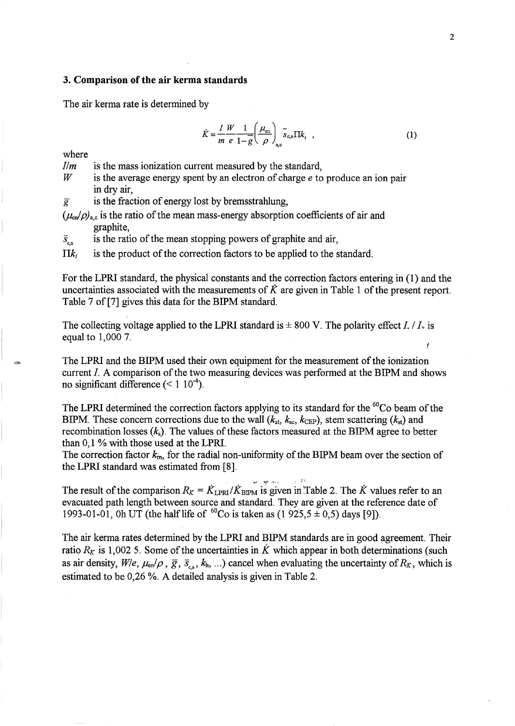### **3. Comparison of the air kerma standards**

The air kerma rate is determined by

$$
\dot{K} = \frac{I}{m} \frac{W}{e} \frac{1}{1 - \overline{g}} \left( \frac{\mu_{\text{en}}}{\rho} \right)_{a,\text{c}}^{-} \overline{s}_{\text{c,a}} \Pi k_{i} \quad , \tag{1}
$$

where

*Ilm*  is the mass ionization current measured by the standard,

W is the average energy spent by an electron of charge *e* to produce an ion pair in dry air,

 $\overline{g}$  is the fraction of energy lost by bremsstrahlung,

 $(\mu_{en}/\rho)_{ac}$  is the ratio of the mean mass-energy absorption coefficients of air and graphite,

is the ratio of the mean stopping powers of graphite and air,  $\overline{S}_{c.a}$ 

 $\prod k_i$  is the product of the correction factors to be applied to the standard.

For the LPRI standard, the physical constants and the correction factors entering in (1) and the uncertainties associated with the measurements of *K* are given in Table 1 of the present report. Table 7 of [7] gives this data for the BIPM standard.

The collecting voltage applied to the LPRI standard is  $\pm 800$  V. The polarity effect I. /  $I_+$  is equal to 1,000 7.

The LPRI and the BIPM used their own equipment for the measurement of the ionization current I. A comparison of the two measuring devices was performed at the BIPM and shows no significant difference  $(< 1 \ 10^{-4})$ .

The LPRI determined the correction factors applying to its standard for the  ${}^{60}Co$  beam of the BIPM. These concern corrections due to the wall  $(k_{at}, k_{sc}, k_{CEP})$ , stem scattering  $(k_{st})$  and recombination losses (k*s).* The values of these factors measured at the BIPM agree to better than 0,1 % with those used at the LPRI.

The correction factor  $k_{m}$ , for the radial non-uniformity of the BIPM beam over the section of the LPRI standard was estimated from [8].

The result of the comparison  $R_K = \dot{K}_{\text{LPRI}} / \dot{K}_{\text{BPM}}$  is given in Table 2. The  $\dot{K}$  values refer to an evacuated path length between source and standard. They are given at the reference date of 1993-01-01, Oh UT (the half life of <sup>60</sup>Co is taken as (1 925,5  $\pm$  0,5) days [9]).

The air kerma rates determined by the LPRI and BIPM standards are in good agreement. Their ratio  $R_K$  is 1,002 5. Some of the uncertainties in  $\dot{K}$  which appear in both determinations (such as air density,  $W/e$ ,  $\mu_{en}/\rho$ ,  $\overline{g}$ ,  $\overline{s}_{en}$ ,  $k_h$ , ...) cancel when evaluating the uncertainty of  $R_K$ , which is estimated to be 0,26 %. A detailed analysis is given in Table 2.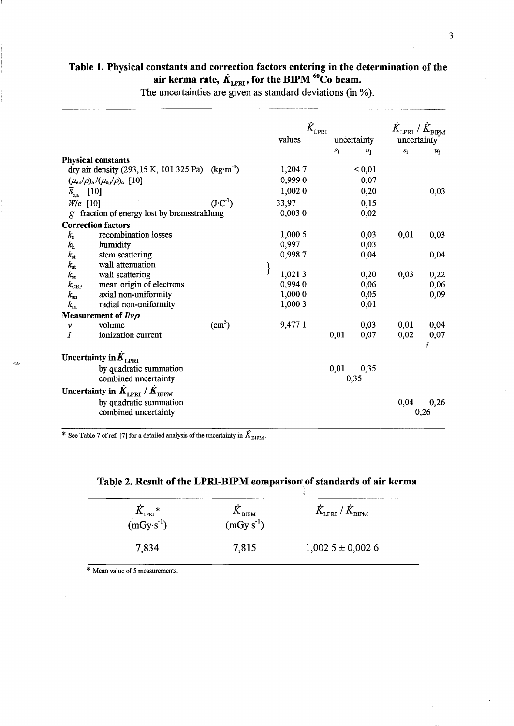# Table 1. Physical constants and correction factors entering in the determination of the air kerma rate,  $\dot{K}_{\text{\tiny LPRI}}$ , for the BIPM  $^{60}\text{Co}$  beam.

The uncertainties are given as standard deviations (in  $\%$ ).

|                           |                                                              |                    | $\dot{K}_{\rm LPRI}$ |       | $\bar{K}_{\text{\tiny LPRI}}$ / $\bar{K}_{\text{\tiny BIPM}}$ |             |                  |
|---------------------------|--------------------------------------------------------------|--------------------|----------------------|-------|---------------------------------------------------------------|-------------|------------------|
|                           |                                                              |                    | values               |       | uncertainty                                                   | uncertainty |                  |
|                           |                                                              |                    |                      | $S_1$ | $\boldsymbol{u}$                                              | $S_1$       | $\boldsymbol{u}$ |
|                           | <b>Physical constants</b>                                    |                    |                      |       |                                                               |             |                  |
|                           | dry air density (293,15 K, 101 325 Pa) (kg·m <sup>-3</sup> ) |                    | 1,2047               |       | ${}_{0,01}$                                                   |             |                  |
|                           | $(\mu_{en}/\rho)_{a}/(\mu_{en}/\rho)_{c}$ [10]               |                    | 0,9990               |       | 0,07                                                          |             |                  |
| $\overline{S}_{c,a}$ [10] |                                                              |                    | 1,002 0              |       | 0,20                                                          |             | 0,03             |
| $W/e$ [10]                |                                                              | $(J\cdot C^{-1})$  | 33,97                |       | 0,15                                                          |             |                  |
|                           | $\overline{g}$ fraction of energy lost by bremsstrahlung     |                    | 0,0030               |       | 0,02                                                          |             |                  |
|                           | <b>Correction factors</b>                                    |                    |                      |       |                                                               |             |                  |
| $k_{\rm s}$               | recombination losses                                         |                    | 1,000 5              |       | 0,03                                                          | 0,01        | 0,03             |
| $k_{\rm h}$               | humidity                                                     |                    | 0,997                |       | 0,03                                                          |             |                  |
| $k_{\rm st}$              | stem scattering                                              |                    | 0,9987               |       | 0,04                                                          |             | 0,04             |
| $k_{\rm at}$              | wall attenuation                                             |                    |                      |       |                                                               |             |                  |
| $k_{\rm sc}$              | wall scattering                                              |                    | 1,0213               |       | 0,20                                                          | 0,03        | 0,22             |
| $k_{\rm CEP}$             | mean origin of electrons                                     |                    | 0,9940               |       | 0,06                                                          |             | 0,06             |
| $k_{\rm an}$              | axial non-uniformity                                         |                    | 1,000 0              |       | 0,05                                                          |             | 0,09             |
| $k_{\rm m}$               | radial non-uniformity                                        |                    | 1,000 3              |       | 0,01                                                          |             |                  |
|                           | Measurement of $I/\nu\rho$                                   |                    |                      |       |                                                               |             |                  |
| ν                         | volume                                                       | (cm <sup>3</sup> ) | 9,477 1              |       | 0,03                                                          | 0,01        | 0,04             |
| Ι                         | ionization current                                           |                    |                      | 0,01  | 0,07                                                          | 0,02        | 0,07             |
|                           | Uncertainty in $K_{\text{LPRI}}$                             |                    |                      |       |                                                               |             |                  |
|                           | by quadratic summation<br>combined uncertainty               |                    |                      | 0,01  | 0,35<br>0,35                                                  |             |                  |
|                           | Uncertainty in $K_{\text{LPRI}}/K_{\text{BIPM}}$             |                    |                      |       |                                                               |             |                  |
|                           | by quadratic summation<br>combined uncertainty               |                    |                      |       |                                                               | 0,04        | 0,26<br>0,26     |

\* See Table 7 of ref. [7] for a detailed analysis of the uncertainty in  $\dot{K}_{\text{BIPM}}$ .

| $K_{\text{\tiny LPRI}}^*$<br>(mGy·s <sup>-1</sup> ) | $\mathbf{v}_{\text{BIPM}}$<br>$(mGy·s-1)$ | $K_{\text{\tiny LPRI}}$ / $K_{\text{\tiny BIPM}}$ |  |
|-----------------------------------------------------|-------------------------------------------|---------------------------------------------------|--|
| 7,834                                               | 7,815                                     | $1,002$ 5 ± 0,002 6                               |  |

Table 2. Result of the LPRI-BIPM comparison of standards of air kerma

\* Mean value of 5 measurements.

.~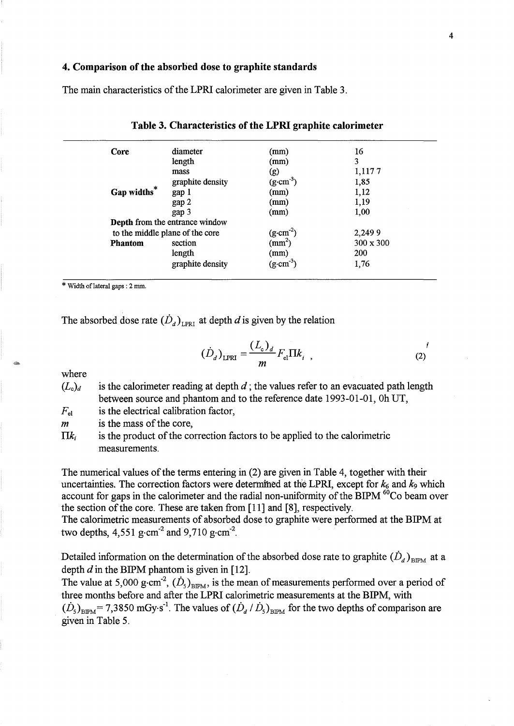#### 4. Comparison of the absorbed dose to graphite standards

The main characteristics of the LPRl calorimeter are given in Table 3.

| Core           | diameter                              | (mm)                  | 16               |
|----------------|---------------------------------------|-----------------------|------------------|
|                | length                                | (mm)                  | 3                |
|                | mass                                  | (g)                   | 1,1177           |
|                | graphite density                      | $(g \cdot cm^{-3})$   | 1,85             |
| Gap widths*    | gap 1                                 | (mm)                  | 1,12             |
|                | gap 2                                 | (mm)                  | 1,19             |
|                | gap 3                                 | (mm)                  | 1,00             |
|                | <b>Depth</b> from the entrance window |                       |                  |
|                | to the middle plane of the core       | $(g \cdot cm^{-2})$   | 2,2499           |
| <b>Phantom</b> | section                               | $\text{mm}^2$ )       | $300 \times 300$ |
|                | length                                | (mm)                  | <b>200</b>       |
|                | graphite density                      | $(g \text{ cm}^{-3})$ | 1,76             |

| Table 3. Characteristics of the LPRI graphite calorimeter |  |  |  |  |  |
|-----------------------------------------------------------|--|--|--|--|--|
|-----------------------------------------------------------|--|--|--|--|--|

\* Width oflateraI gaps: 2 mm.

The absorbed dose rate  $(D_d)_{LPRI}$  at depth d is given by the relation

$$
(\dot{D}_d)_{\text{LPRI}} = \frac{(L_c)_d}{m} F_{el} \Pi k_i \tag{2}
$$

where

- $(L<sub>c</sub>)<sub>d</sub>$  is the calorimeter reading at depth d; the values refer to an evacuated path length between source and phantom and to the reference date 1993-01-01, Oh UT,
- is the electrical calibration factor,  $F_{\rm el}$

is the mass of the core,  $\boldsymbol{m}$ 

is the product of the correction factors to be applied to the calorimetric  $\Pi k$ measurements.

The numerical values of the terms entering in (2) are given in Table 4, together with their uncertainties. The correction factors were determined at the LPRI, except for  $k_6$  and  $k_9$  which account for gaps in the calorimeter and the radial non-uniformity of the BIPM  ${}^{60}$ Co beam over the section of the core. These are taken from [11] and [8], respectively.

The calorimetric measurements of absorbed dose to graphite were performed at the BIPM at two depths,  $4,551$  g·cm<sup>-2</sup> and  $9,710$  g·cm<sup>-2</sup>.

Detailed information on the determination of the absorbed dose rate to graphite  $(D_d)_{BIPM}$  at a depth  $d$  in the BIPM phantom is given in [12].

The value at 5,000 g·cm<sup>-2</sup>,  $(\dot{D}_s)_{\text{BPM}}$ , is the mean of measurements performed over a period of three months before and after the LPRl calorimetric measurements at the BIPM, with  $(D_5)_{\text{BIPM}}$  = 7,3850 mGy·s<sup>-1</sup>. The values of  $(D_d / D_5)_{\text{BIPM}}$  for the two depths of comparison are given in Table 5.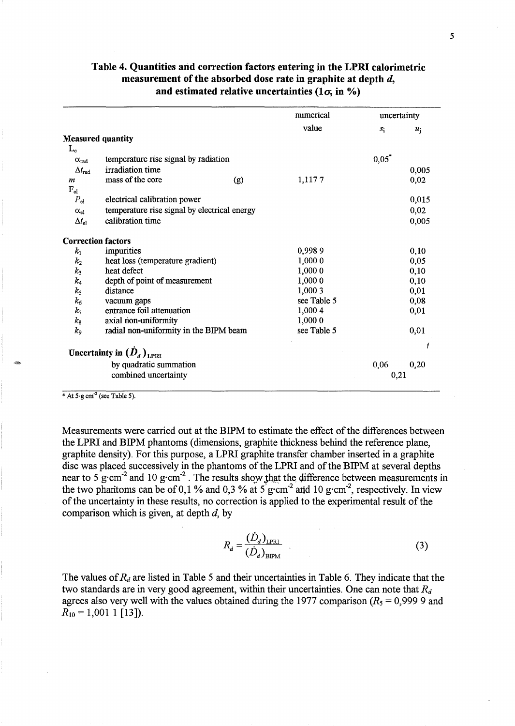|                           |                                              | numerical   | uncertainty |       |
|---------------------------|----------------------------------------------|-------------|-------------|-------|
|                           |                                              | value       | $S_1$       | $u_i$ |
|                           | <b>Measured quantity</b>                     |             |             |       |
| $L_{c}$                   |                                              |             |             |       |
| $\alpha_{\rm rad}$        | temperature rise signal by radiation         |             | $0,05^*$    |       |
| $\Delta t_{\rm rad}$      | irradiation time                             |             |             | 0,005 |
| $\boldsymbol{m}$          | mass of the core<br>(g)                      | 1,1177      |             | 0,02  |
| $F_{el}$                  |                                              |             |             |       |
| $P_{el}$                  | electrical calibration power                 |             |             | 0,015 |
| $\alpha_{el}$             | temperature rise signal by electrical energy |             |             | 0,02  |
| $\Delta t_{\rm el}$       | calibration time                             |             |             | 0,005 |
| <b>Correction factors</b> |                                              |             |             |       |
| $k_{1}$                   | impurities                                   | 0,9989      |             | 0,10  |
| $k_{2}$                   | heat loss (temperature gradient)             | 1,000 0     |             | 0,05  |
| $k_3$                     | heat defect                                  | 1,000 0     |             | 0,10  |
| $k_4$                     | depth of point of measurement                | 1,000 0     |             | 0,10  |
| $k_{5}$                   | distance                                     | 1,000 3     |             | 0,01  |
| $k_6$                     | vacuum gaps                                  | see Table 5 |             | 0,08  |
| $k_7$                     | entrance foil attenuation                    | 1,000 4     |             | 0,01  |
| $k_{8}$                   | axial non-uniformity                         | 1,000 0     |             |       |
| k <sub>9</sub>            | radial non-uniformity in the BIPM beam       | see Table 5 |             | 0,01  |
|                           | Uncertainty in $(\dot{D}_d)_{LPRI}$          |             |             |       |
|                           | by quadratic summation                       |             | 0,06        | 0,20  |
|                           | combined uncertainty                         |             | 0,21        |       |

## Table 4. Quantities arid correction factors entering in the LPRI calorimetric measurement of the absorbed dose rate in graphite at depth d, and estimated relative uncertainties  $(1\sigma, in \%)$

 $*$  At  $5 \cdot g$  cm<sup>-2</sup> (see Table 5).

Measurements were carried out at the BIPM to estimate the effect of the differences between the LPRl and BIPM phantoms (dimensions, graphite thickness behind the reference plane, graphite density). For this purpose, a LPRl graphite transfer chamber inserted in a graphite disc was placed successively in the phantoms of the LPRl and of the BIPM at several depths near to 5 g·cm<sup>-2</sup> and 10 g·cm<sup>-2</sup>. The results show that the difference between measurements in the two phantoms can be of 0,1 % and 0,3 % at  $5 \text{ g} \cdot \text{cm}^{-2}$  and 10 g $\cdot \text{cm}^{-2}$ , respectively. In view of the uncertainty in these results, no correction is applied to the experimental result of the comparison which is given, at depth  $d$ , by

$$
R_d = \frac{(\dot{D}_d)_{\text{LPRI}}}{(\dot{D}_d)_{\text{RIPM}}} \tag{3}
$$

The values of  $R_d$  are listed in Table 5 and their uncertainties in Table 6. They indicate that the two standards are in very good agreement, within their uncertainties. One can note that  $R_d$ agrees also very well with the values obtained during the 1977 comparison  $(R_5 = 0.99999$  and  $R_{10} = 1,0011$  [13]).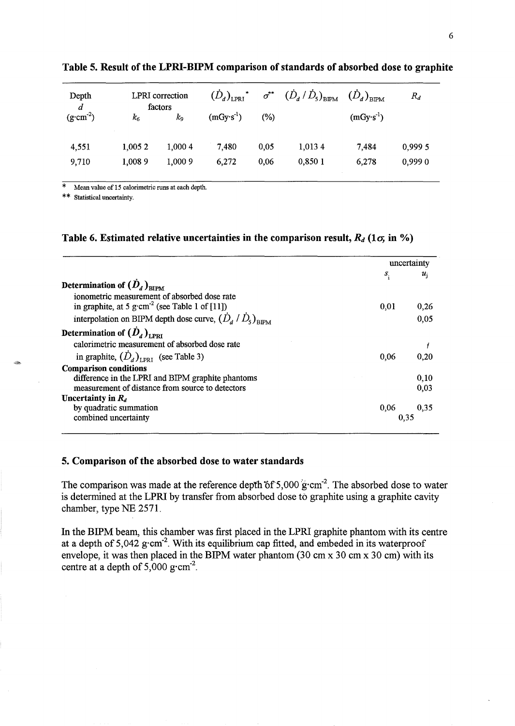| Depth<br>$\boldsymbol{d}$<br>$(g \cdot cm^{-2})$ | $k_{6}$ | <b>LPRI</b> correction<br>factors<br>k9 | $\left(\dot{D}_{d}\right)_{\rm LPRI}$<br>$(mGy·s^{-1})$ | $\sigma^{**}$<br>$(\%)$ | $\left(\dot{D}_{_{d}}\,/\,\dot{D}_{_{5}}\right)_{\rm BIPM}$ | $(\dot{D}_d)_{\text{\tiny BIPM}}$<br>$(mGy·s-1)$ | $R_d$   |
|--------------------------------------------------|---------|-----------------------------------------|---------------------------------------------------------|-------------------------|-------------------------------------------------------------|--------------------------------------------------|---------|
| 4,551                                            | 1,005 2 | 1,000 4                                 | 7,480                                                   | 0,05                    | 1,0134                                                      | 7,484                                            | 0,999 5 |
| 9,710                                            | 1,0089  | 1,000 9                                 | 6,272                                                   | 0.06                    | 0.8501                                                      | 6,278                                            | 0,9990  |

Table 5. Result of the LPRI-BIPM comparison of standards of absorbed dose to graphite

\* Mean value of 15 calorimetric runs at each depth.

\* \* Statistical uncertainty.

## Table 6. Estimated relative uncertainties in the comparison result,  $R_d$  (1 $\sigma$ , in %)

|                                                                          |      | uncertainty |
|--------------------------------------------------------------------------|------|-------------|
| Determination of $(D_d)_{\text{RIPM}}$                                   | S.   | $u_i$       |
|                                                                          |      |             |
| ionometric measurement of absorbed dose rate                             |      |             |
| in graphite, at 5 g $\text{cm}^{-2}$ (see Table 1 of [11])               | 0,01 | 0,26        |
| interpolation on BIPM depth dose curve, $(\dot{D}_d / \dot{D}_s)_{RIPM}$ |      | 0,05        |
| Determination of $(\dot{D}_d)_{L \text{PRI}}$                            |      |             |
| calorimetric measurement of absorbed dose rate                           |      |             |
| in graphite, $(\dot{D}_d)_{L_{\text{PRT}}}$ (see Table 3)                | 0.06 | 0.20        |
| <b>Comparison conditions</b>                                             |      |             |
| difference in the LPRI and BIPM graphite phantoms                        |      | 0,10        |
| measurement of distance from source to detectors                         |      | 0,03        |
| Uncertainty in $R_d$                                                     |      |             |
| by quadratic summation                                                   | 0,06 | 0,35        |
| combined uncertainty                                                     |      | 0.35        |

## 5. Comparison of the absorbed dose to water standards

The comparison was made at the reference depth of 5,000  $g$ ·cm<sup>-2</sup>. The absorbed dose to water is determined at the LPRI by transfer from absorbed dose to graphite using a graphite cavity chamber, type NE 2571.

In the BIPM beam, this chamber was first placed in the LPRI graphite phantom with its centre at a depth of  $5,042$  g·cm<sup>-2</sup>. With its equilibrium cap fitted, and embeded in its waterproof envelope, it was then placed in the BIPM water phantom (30 cm x 30 cm x 30 cm) with its centre at a depth of  $5,000$  g·cm<sup>-2</sup>.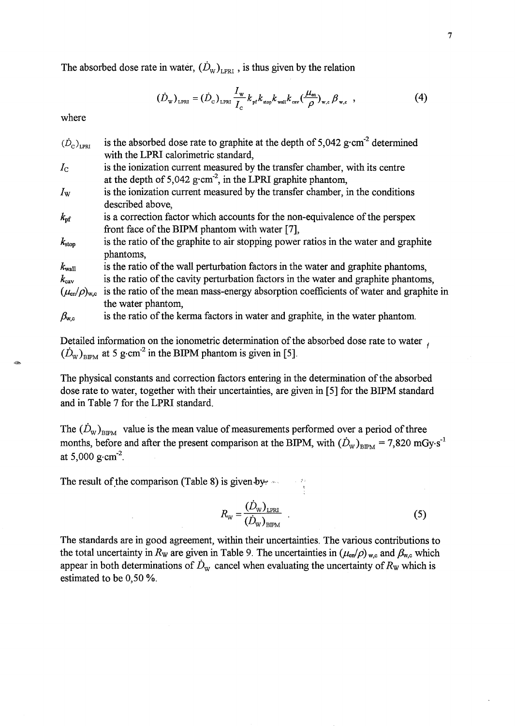The absorbed dose rate in water,  $(\dot{D}_{w})_{LPRI}$ , is thus given by the relation

$$
(\dot{D}_{w})_{LPRI} = (\dot{D}_{c})_{LPRI} \frac{I_{w}}{I_{c}} k_{pf} k_{stop} k_{wall} k_{cav} (\frac{\mu_{en}}{\rho})_{w,c} \beta_{w,c} , \qquad (4)
$$

where

 $(D_c)_{LPI}$  is the absorbed dose rate to graphite at the depth of 5,042 g·cm<sup>-2</sup> determined with the LPRI calorimetric standard, *l<sub>c</sub>* is the ionization current measured by the transfer chamber, with its centre at the depth of  $5,042$  g·cm<sup>-2</sup>, in the LPRI graphite phantom, *lw* is the ionization current measured by the transfer chamber, in the conditions described above,  $k<sub>pf</sub>$  is a correction factor which accounts for the non-equivalence of the perspex front face of the BIPM phantom with water [7],  $k_{\text{stop}}$  is the ratio of the graphite to air stopping power ratios in the water and graphite phantoms,  $k_{\text{wall}}$  is the ratio of the wall perturbation factors in the water and graphite phantoms,  $k_{\rm cav}$  is the ratio of the cavity perturbation factors in the water and graphite phantoms,  $(\mu_{en}/\rho)_{w,c}$  is the ratio of the mean mass-energy absorption coefficients of water and graphite in

the water phantom,

 $\beta_{w,c}$  is the ratio of the kerma factors in water and graphite, in the water phantom.

Detailed information on the ionometric determination of the absorbed dose rate to water  $\mu$  $(D_{\text{w}})_{\text{BIPM}}$  at 5 g·cm<sup>-2</sup> in the BIPM phantom is given in [5].

The physical constants and correction factors entering in the determination of the absorbed dose rate to water, together with their uncertainties, are given in [5] for the BIPM standard and in Table 7 for the LPRI standard.

The  $(\dot{D}_{\text{W}})_{\text{BIPM}}$  value is the mean value of measurements performed over a period of three months, before and after the present comparison at the BIPM, with  $(D_w)_{BIPM} = 7,820 \text{ mGy·s}^{-1}$ at 5,000  $\text{g}\cdot\text{cm}^{-2}$ .

The result of the comparison (Table 8) is given by  $\sim$ 

$$
R_{\rm w} = \frac{(\dot{D}_{\rm w})_{\rm LPRI}}{(\dot{D}_{\rm w})_{\rm BIPM}} \quad . \tag{5}
$$

The standards are in good agreement, within their uncertainties. The various contributions to the total uncertainty in  $R_w$  are given in Table 9. The uncertainties in  $(\mu_{en}/\rho)_{w,c}$  and  $\beta_{w,c}$  which appear in both determinations of  $\dot{D}_{w}$  cancel when evaluating the uncertainty of  $R_{w}$  which is estimated to be 0,50 %.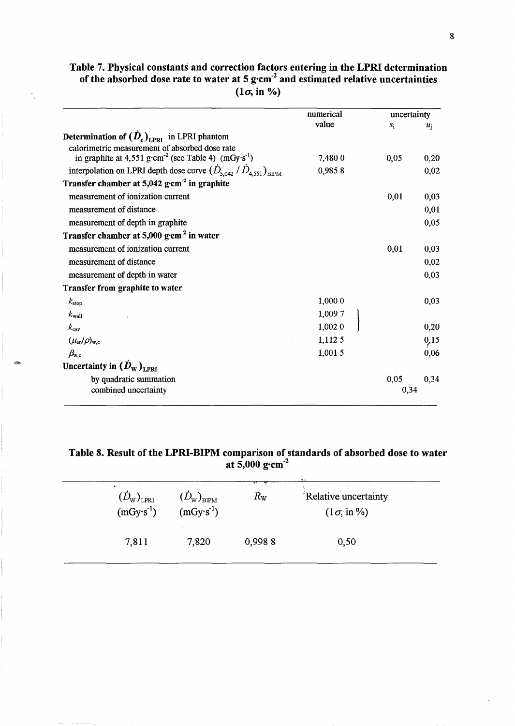## Table 7. Physical constants and correction factors entering in the LPRI determination of the absorbed dose rate to water at 5 g $cm<sup>2</sup>$  and estimated relative uncertainties  $(1\sigma, in\%)$

|                                                                              | numerical | uncertainty |       |
|------------------------------------------------------------------------------|-----------|-------------|-------|
|                                                                              | value     | $S_1$       | $u_i$ |
| <b>Determination of <math>(D_c)_{LPRI}</math></b> in LPRI phantom            |           |             |       |
| calorimetric measurement of absorbed dose rate                               |           |             |       |
| in graphite at 4,551 g·cm <sup>-2</sup> (see Table 4) (mGy·s <sup>-1</sup> ) | 7,4800    | 0,05        | 0,20  |
| interpolation on LPRI depth dose curve $(D_{5,042} / D_{4.551})_{BIPM}$      | 0,9858    |             | 0,02  |
| Transfer chamber at $5,042$ g·cm <sup>-2</sup> in graphite                   |           |             |       |
| measurement of ionization current                                            |           | 0,01        | 0,03  |
| measurement of distance                                                      |           |             | 0,01  |
| measurement of depth in graphite                                             |           |             | 0,05  |
| Transfer chamber at 5,000 g·cm <sup>-2</sup> in water                        |           |             |       |
| measurement of ionization current                                            |           | 0,01        | 0,03  |
| measurement of distance                                                      |           |             | 0,02  |
| measurement of depth in water                                                |           |             | 0,03  |
| Transfer from graphite to water                                              |           |             |       |
| $k_{\rm stop}$                                                               | 1,000 0   |             | 0,03  |
| $k_{\rm wall}$                                                               | 1,0097    |             |       |
| $k_{\rm cav}$                                                                | 1,002 0   |             | 0,20  |
| $(\mu_{\rm en}/\rho)_{\rm w,c}$                                              | 1,1125    |             | 0,15  |
| $\beta_{\rm w,c}$                                                            | 1,0015    |             | 0,06  |
| Uncertainty in $(D_{\text{w}})_{\text{LPRI}}$                                |           |             |       |
| by quadratic summation                                                       |           | 0,05        | 0,34  |
| combined uncertainty                                                         |           | 0,34        |       |

,-

Table S. Result of the LPRI-BIPM comparison of standards of absorbed dose to water at  $5,000$  g $\cdot$ cm<sup>-2</sup>

| $\left( D_{\text{w}}\right) _{\text{LPRI}}$<br>$(mGy·s-1)$ | $(D_{\mathrm{W}})_{\mathrm{BIPM}}$<br>$(mGy·s-1)$ | $R_{\rm W}$ | Relative uncertainty<br>$(1\sigma, in\%)$ |
|------------------------------------------------------------|---------------------------------------------------|-------------|-------------------------------------------|
| 7,811                                                      | 7,820                                             | 0,9988      | 0,50                                      |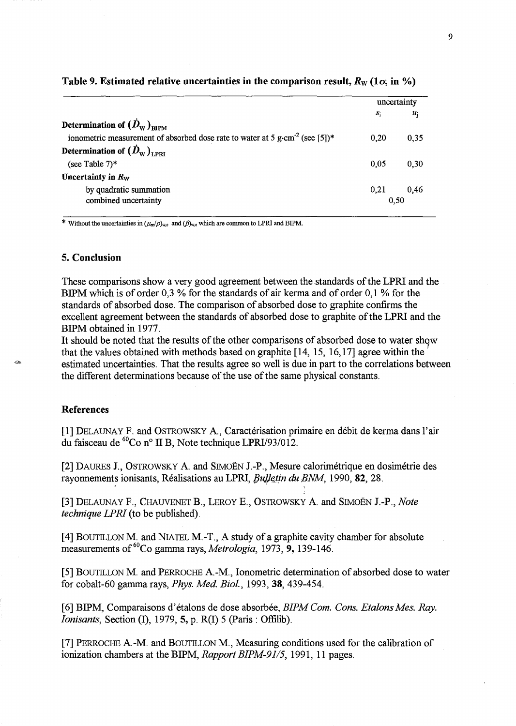|                                                                                          | uncertainty |       |
|------------------------------------------------------------------------------------------|-------------|-------|
|                                                                                          | $S_1$       | $u_i$ |
| Determination of $(\dot{D}_{\text{w}})_{\text{RIPM}}$                                    |             |       |
| ionometric measurement of absorbed dose rate to water at 5 g·cm <sup>-2</sup> (see [5])* | 0.20        | 0.35  |
| Determination of $(\dot{D}_{\text{w}})_{\text{TPRT}}$                                    |             |       |
| (see Table $7$ )*                                                                        | 0.05        | 0,30  |
| Uncertainty in $R_W$                                                                     |             |       |
| by quadratic summation                                                                   | 0,21        | 0,46  |
| combined uncertainty                                                                     | 0.50        |       |

#### Table 9. Estimated relative uncertainties in the comparison result,  $R_{\rm w}$  (1 $\sigma$ , in %)

\* Without the uncertainties in  $(\mu_{\rm en}/\rho)_{\rm w,c}$  and  $(\beta)_{\rm w,c}$  which are common to LPRI and BIPM.

## 5. Conclusion

These comparisons show a very good agreement between the standards of the LPRI and the BIPM which is of order 0,3 % for the standards of air kerma and of order 0,1 % for the standards of absorbed dose. The comparison of absorbed dose to graphite confirms the excellent agreement between the standards of absorbed dose to graphite of the LPRI and the BIPM obtained in 1977.

It should be noted that the results of the other comparisons of absorbed dose to water show that the values obtained with methods based on graphite [14, 15, 16,17] agree within the estimated uncertainties. That the results agree so well is due in part to the correlations between the different determinations because of the use of the same physical constants.

## References

[1] DELAUNAY F. and OSTROWSKY A., Caractérisation primaire en débit de kerma dans l'air du faisceau de  ${}^{60}Co$  n° II B, Note technique LPRI/93/012.

[2] DAURES J., OSTROWSKY A. and SIMOËN J.-P., Mesure calorimétrique en dosimétrie des rayonnements ionisants, Réalisations au LPRI, *Bulletin du BNM*, 1990, 82, 28.

[3] DELAUNAY F., CHAUVENET B., LEROY E., OS1ROWSKY A and SIMOEN I-P., *Note technique LPRI* (to be published).

[4] BOUTILLON M. and NIATEL M.-T., A study of a graphite cavity chamber for absolute measurements of <sup>60</sup>Co gamma rays, *Metrologia*, 1973, 9, 139-146.

[5] BOUTILLON M. and PERROCHE A.-M., Ionometric determination of absorbed dose to water for cobalt-60 gamma rays, *Phys. Med. Bioi.,* 1993,38,439-454.

[6] BIPM, Comparaisons d'etalons de dose absorbee, *BIPMCom. Cons. EtaionsMes. Ray. Ionisants, Section (I), 1979, 5, p. R(I) 5 (Paris: Offilib).* 

[7] PERROCHE A-M. and BOUTlLLON M., Measuring conditions used for the calibration of ionization chambers at the BIPM, *Rapport BIPM-9115,* 1991, 11 pages.